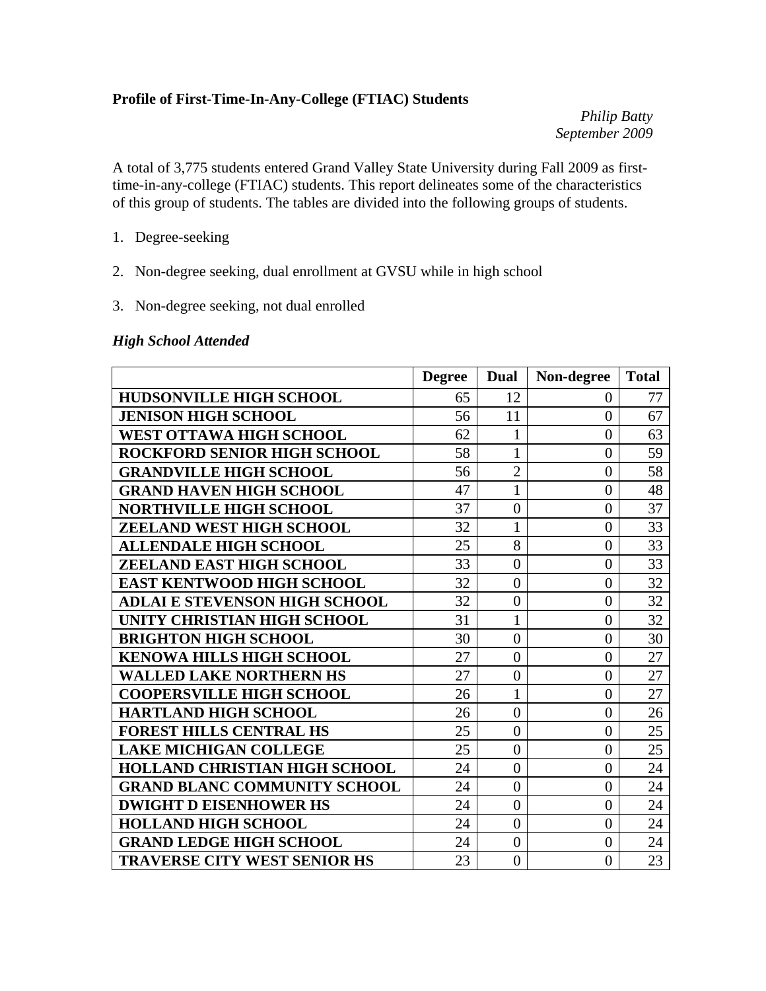#### **Profile of First-Time-In-Any-College (FTIAC) Students**

*Philip Batty September 2009* 

A total of 3,775 students entered Grand Valley State University during Fall 2009 as firsttime-in-any-college (FTIAC) students. This report delineates some of the characteristics of this group of students. The tables are divided into the following groups of students.

- 1. Degree-seeking
- 2. Non-degree seeking, dual enrollment at GVSU while in high school
- 3. Non-degree seeking, not dual enrolled

#### *High School Attended*

|                                      | <b>Degree</b> | Dual           | Non-degree     | <b>Total</b> |
|--------------------------------------|---------------|----------------|----------------|--------------|
| <b>HUDSONVILLE HIGH SCHOOL</b>       | 65            | 12             | $\theta$       | 77           |
| <b>JENISON HIGH SCHOOL</b>           | 56            | 11             | $\overline{0}$ | 67           |
| <b>WEST OTTAWA HIGH SCHOOL</b>       | 62            | $\mathbf{1}$   | $\overline{0}$ | 63           |
| <b>ROCKFORD SENIOR HIGH SCHOOL</b>   | 58            | $\mathbf{1}$   | $\overline{0}$ | 59           |
| <b>GRANDVILLE HIGH SCHOOL</b>        | 56            | $\overline{2}$ | $\overline{0}$ | 58           |
| <b>GRAND HAVEN HIGH SCHOOL</b>       | 47            | $\mathbf{1}$   | $\overline{0}$ | 48           |
| <b>NORTHVILLE HIGH SCHOOL</b>        | 37            | $\overline{0}$ | $\overline{0}$ | 37           |
| <b>ZEELAND WEST HIGH SCHOOL</b>      | 32            | $\mathbf{1}$   | $\overline{0}$ | 33           |
| <b>ALLENDALE HIGH SCHOOL</b>         | 25            | 8              | $\overline{0}$ | 33           |
| ZEELAND EAST HIGH SCHOOL             | 33            | $\overline{0}$ | $\overline{0}$ | 33           |
| <b>EAST KENTWOOD HIGH SCHOOL</b>     | 32            | $\overline{0}$ | $\overline{0}$ | 32           |
| <b>ADLAI E STEVENSON HIGH SCHOOL</b> | 32            | $\overline{0}$ | $\overline{0}$ | 32           |
| UNITY CHRISTIAN HIGH SCHOOL          | 31            | $\mathbf{1}$   | $\overline{0}$ | 32           |
| <b>BRIGHTON HIGH SCHOOL</b>          | 30            | $\overline{0}$ | $\overline{0}$ | 30           |
| <b>KENOWA HILLS HIGH SCHOOL</b>      | 27            | $\overline{0}$ | $\overline{0}$ | 27           |
| <b>WALLED LAKE NORTHERN HS</b>       | 27            | $\overline{0}$ | $\overline{0}$ | 27           |
| <b>COOPERSVILLE HIGH SCHOOL</b>      | 26            | $\mathbf{1}$   | $\overline{0}$ | 27           |
| <b>HARTLAND HIGH SCHOOL</b>          | 26            | $\overline{0}$ | $\overline{0}$ | 26           |
| <b>FOREST HILLS CENTRAL HS</b>       | 25            | $\overline{0}$ | $\overline{0}$ | 25           |
| <b>LAKE MICHIGAN COLLEGE</b>         | 25            | $\overline{0}$ | $\overline{0}$ | 25           |
| <b>HOLLAND CHRISTIAN HIGH SCHOOL</b> | 24            | $\overline{0}$ | $\theta$       | 24           |
| <b>GRAND BLANC COMMUNITY SCHOOL</b>  | 24            | $\overline{0}$ | $\overline{0}$ | 24           |
| <b>DWIGHT D EISENHOWER HS</b>        | 24            | $\overline{0}$ | $\overline{0}$ | 24           |
| <b>HOLLAND HIGH SCHOOL</b>           | 24            | $\overline{0}$ | $\overline{0}$ | 24           |
| <b>GRAND LEDGE HIGH SCHOOL</b>       | 24            | $\overline{0}$ | $\theta$       | 24           |
| <b>TRAVERSE CITY WEST SENIOR HS</b>  | 23            | $\overline{0}$ | $\overline{0}$ | 23           |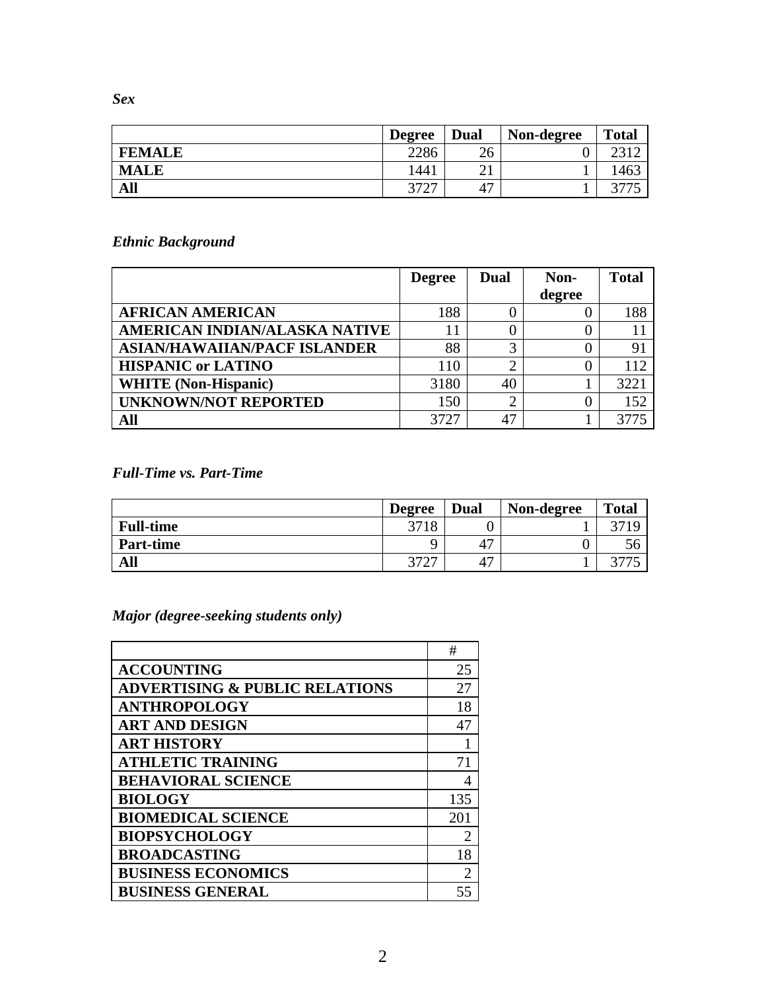*Sex* 

|               | <b>Degree</b> | Dual      | Non-degree | <b>Total</b> |
|---------------|---------------|-----------|------------|--------------|
| <b>FEMALE</b> | 2286          | 26        |            |              |
| <b>MALE</b>   | 1441          | ⌒ 1<br>∠⊥ |            | 463          |
| All           | 2727<br>ا ک   | 47        |            |              |

## *Ethnic Background*

|                                     | <b>Degree</b> | Dual | Non-   | <b>Total</b> |
|-------------------------------------|---------------|------|--------|--------------|
|                                     |               |      | degree |              |
| <b>AFRICAN AMERICAN</b>             | 188           |      |        | 188          |
| AMERICAN INDIAN/ALASKA NATIVE       |               |      | 0      |              |
| <b>ASIAN/HAWAIIAN/PACF ISLANDER</b> | 88            | 2    |        | 91           |
| <b>HISPANIC or LATINO</b>           | 110           | ◠    | 0      | 112          |
| <b>WHITE</b> (Non-Hispanic)         | 3180          | 40   |        | 3221         |
| <b>UNKNOWN/NOT REPORTED</b>         | 150           | ◠    | 0      | 152          |
| All                                 | 3727          | 47   |        |              |

## *Full-Time vs. Part-Time*

|                  | <b>Degree</b>                    | Dual | Non-degree | <b>Total</b> |
|------------------|----------------------------------|------|------------|--------------|
| <b>Full-time</b> | 3718                             |      |            | 2710         |
| <b>Part-time</b> |                                  | 47   |            |              |
| All              | הרחר<br>$\overline{\phantom{a}}$ | 47   |            |              |

# *Major (degree-seeking students only)*

|                                           | #              |
|-------------------------------------------|----------------|
| <b>ACCOUNTING</b>                         | 25             |
| <b>ADVERTISING &amp; PUBLIC RELATIONS</b> | 27             |
| <b>ANTHROPOLOGY</b>                       | 18             |
| <b>ART AND DESIGN</b>                     | 47             |
| <b>ART HISTORY</b>                        |                |
| <b>ATHLETIC TRAINING</b>                  | 71             |
| <b>BEHAVIORAL SCIENCE</b>                 | 4              |
| <b>BIOLOGY</b>                            | 135            |
| <b>BIOMEDICAL SCIENCE</b>                 | 201            |
| <b>BIOPSYCHOLOGY</b>                      | $\overline{2}$ |
| <b>BROADCASTING</b>                       | 18             |
| <b>BUSINESS ECONOMICS</b>                 | 2              |
| <b>BUSINESS GENERAL</b>                   |                |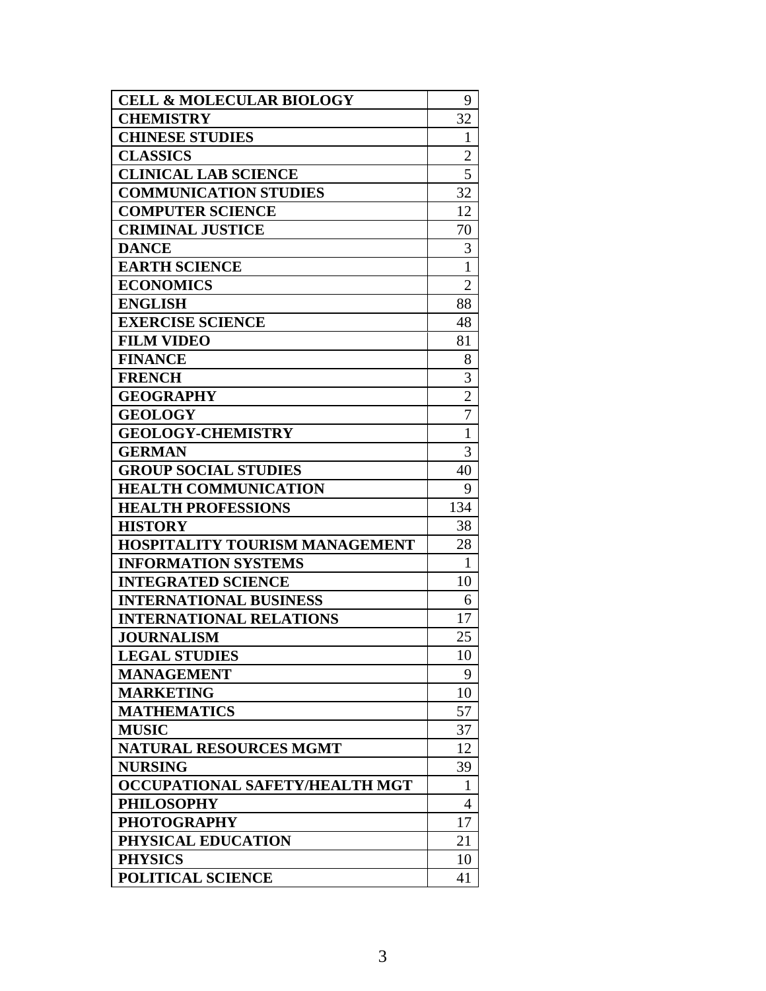| <b>CELL &amp; MOLECULAR BIOLOGY</b> | 9              |
|-------------------------------------|----------------|
| <b>CHEMISTRY</b>                    | 32             |
| <b>CHINESE STUDIES</b>              | $\mathbf{1}$   |
| <b>CLASSICS</b>                     | $\overline{2}$ |
| <b>CLINICAL LAB SCIENCE</b>         | 5              |
| <b>COMMUNICATION STUDIES</b>        | 32             |
| <b>COMPUTER SCIENCE</b>             | 12             |
| <b>CRIMINAL JUSTICE</b>             | 70             |
| <b>DANCE</b>                        | 3              |
| <b>EARTH SCIENCE</b>                | $\mathbf 1$    |
| <b>ECONOMICS</b>                    | $\overline{2}$ |
| <b>ENGLISH</b>                      | 88             |
| <b>EXERCISE SCIENCE</b>             | 48             |
| <b>FILM VIDEO</b>                   | 81             |
| <b>FINANCE</b>                      | 8              |
| <b>FRENCH</b>                       | 3              |
| <b>GEOGRAPHY</b>                    | $\overline{c}$ |
| <b>GEOLOGY</b>                      | $\overline{7}$ |
| <b>GEOLOGY-CHEMISTRY</b>            | $\mathbf{1}$   |
| <b>GERMAN</b>                       | 3              |
| <b>GROUP SOCIAL STUDIES</b>         | 40             |
| <b>HEALTH COMMUNICATION</b>         | 9              |
| <b>HEALTH PROFESSIONS</b>           | 134            |
| <b>HISTORY</b>                      | 38             |
| HOSPITALITY TOURISM MANAGEMENT      | 28             |
| <b>INFORMATION SYSTEMS</b>          | 1              |
| <b>INTEGRATED SCIENCE</b>           | 10             |
| <b>INTERNATIONAL BUSINESS</b>       | 6              |
| <b>INTERNATIONAL RELATIONS</b>      | 17             |
| <b>JOURNALISM</b>                   | 25             |
| <b>LEGAL STUDIES</b>                | 10             |
| <b>MANAGEMENT</b>                   | 9              |
| <b>MARKETING</b>                    | 10             |
| <b>MATHEMATICS</b>                  | 57             |
| <b>MUSIC</b>                        | 37             |
| <b>NATURAL RESOURCES MGMT</b>       | 12             |
| <b>NURSING</b>                      | 39             |
| OCCUPATIONAL SAFETY/HEALTH MGT      | 1              |
| <b>PHILOSOPHY</b>                   | 4              |
| <b>PHOTOGRAPHY</b>                  | 17             |
| PHYSICAL EDUCATION                  | 21             |
| <b>PHYSICS</b>                      | 10             |
| POLITICAL SCIENCE                   | 41             |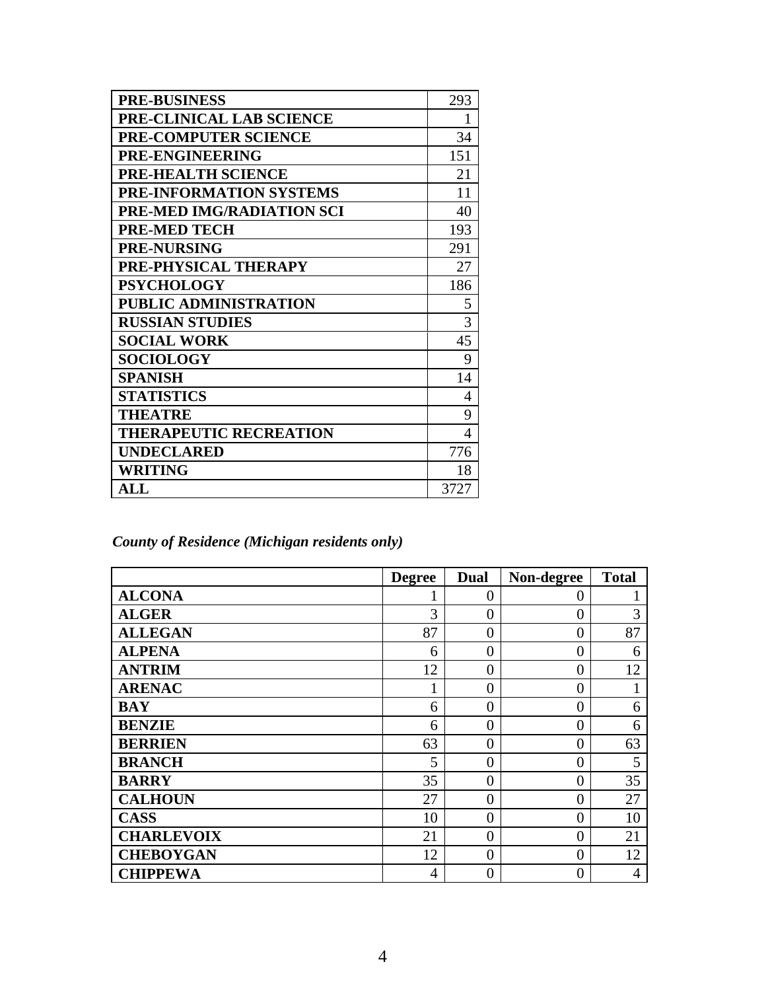| <b>PRE-BUSINESS</b>              | 293            |
|----------------------------------|----------------|
| PRE-CLINICAL LAB SCIENCE         | $\mathbf{1}$   |
| PRE-COMPUTER SCIENCE             | 34             |
| PRE-ENGINEERING                  | 151            |
| PRE-HEALTH SCIENCE               | 21             |
| <b>PRE-INFORMATION SYSTEMS</b>   | 11             |
| <b>PRE-MED IMG/RADIATION SCI</b> | 40             |
| <b>PRE-MED TECH</b>              | 193            |
| <b>PRE-NURSING</b>               | 291            |
| PRE-PHYSICAL THERAPY             | 27             |
| <b>PSYCHOLOGY</b>                | 186            |
| PUBLIC ADMINISTRATION            | 5              |
| <b>RUSSIAN STUDIES</b>           | 3              |
| <b>SOCIAL WORK</b>               | 45             |
| <b>SOCIOLOGY</b>                 | 9              |
| <b>SPANISH</b>                   | 14             |
| <b>STATISTICS</b>                | $\overline{4}$ |
| <b>THEATRE</b>                   | 9              |
| <b>THERAPEUTIC RECREATION</b>    | 4              |
| <b>UNDECLARED</b>                | 776            |
| WRITING                          | 18             |
| $\mathbf{ALL}$                   | 3727           |

*County of Residence (Michigan residents only)* 

|                   | <b>Degree</b>  | Dual           | Non-degree     | <b>Total</b> |
|-------------------|----------------|----------------|----------------|--------------|
| <b>ALCONA</b>     |                | $\overline{0}$ | 0              |              |
| <b>ALGER</b>      | 3              | $\theta$       | 0              | 3            |
| <b>ALLEGAN</b>    | 87             | $\overline{0}$ | $\theta$       | 87           |
| <b>ALPENA</b>     | 6              | $\overline{0}$ | $\Omega$       | 6            |
| <b>ANTRIM</b>     | 12             | $\overline{0}$ | $\overline{0}$ | 12           |
| <b>ARENAC</b>     |                | $\theta$       | $\theta$       |              |
| <b>BAY</b>        | 6              | $\theta$       | $\theta$       | 6            |
| <b>BENZIE</b>     | 6              | $\overline{0}$ | $\theta$       | 6            |
| <b>BERRIEN</b>    | 63             | $\overline{0}$ | $\overline{0}$ | 63           |
| <b>BRANCH</b>     | 5              | $\overline{0}$ | $\theta$       | 5            |
| <b>BARRY</b>      | 35             | $\overline{0}$ | $\theta$       | 35           |
| <b>CALHOUN</b>    | 27             | $\overline{0}$ | $\Omega$       | 27           |
| <b>CASS</b>       | 10             | $\theta$       | $\theta$       | 10           |
| <b>CHARLEVOIX</b> | 21             | $\overline{0}$ | $\theta$       | 21           |
| <b>CHEBOYGAN</b>  | 12             | $\overline{0}$ | $\theta$       | 12           |
| <b>CHIPPEWA</b>   | $\overline{4}$ | $\overline{0}$ | $\theta$       | 4            |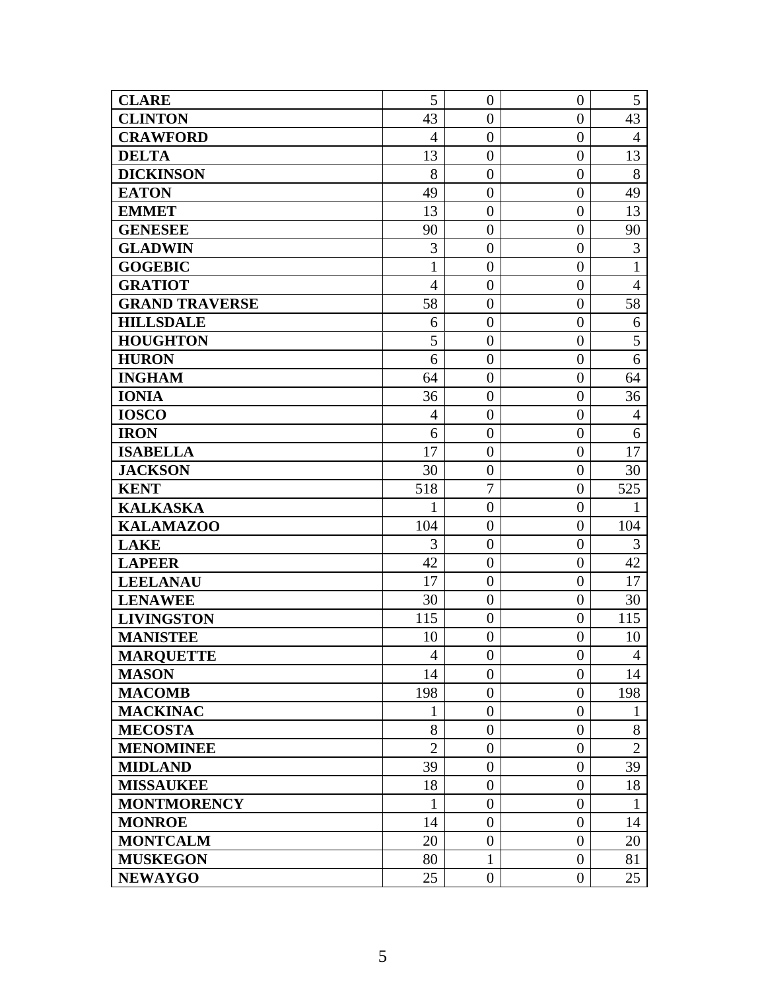| <b>CLARE</b>          | 5              | $\theta$         | $\theta$         | 5              |
|-----------------------|----------------|------------------|------------------|----------------|
| <b>CLINTON</b>        | 43             | $\overline{0}$   | $\overline{0}$   | 43             |
| <b>CRAWFORD</b>       | $\overline{4}$ | $\overline{0}$   | $\overline{0}$   | $\overline{4}$ |
| <b>DELTA</b>          | 13             | $\overline{0}$   | $\overline{0}$   | 13             |
| <b>DICKINSON</b>      | 8              | $\overline{0}$   | $\overline{0}$   | 8              |
| <b>EATON</b>          | 49             | $\overline{0}$   | $\overline{0}$   | 49             |
| <b>EMMET</b>          | 13             | $\overline{0}$   | $\overline{0}$   | 13             |
| <b>GENESEE</b>        | 90             | $\overline{0}$   | $\overline{0}$   | 90             |
| <b>GLADWIN</b>        | 3              | $\theta$         | $\boldsymbol{0}$ | 3              |
| <b>GOGEBIC</b>        | $\mathbf{1}$   | $\overline{0}$   | $\overline{0}$   | $\mathbf{1}$   |
| <b>GRATIOT</b>        | $\overline{4}$ | $\theta$         | $\overline{0}$   | $\overline{4}$ |
| <b>GRAND TRAVERSE</b> | 58             | $\overline{0}$   | $\theta$         | 58             |
| <b>HILLSDALE</b>      | 6              | $\overline{0}$   | $\overline{0}$   | 6              |
| <b>HOUGHTON</b>       | 5              | $\theta$         | $\boldsymbol{0}$ | 5              |
| <b>HURON</b>          | 6              | $\overline{0}$   | $\overline{0}$   | 6              |
| <b>INGHAM</b>         | 64             | $\overline{0}$   | $\overline{0}$   | 64             |
| <b>IONIA</b>          | 36             | $\overline{0}$   | $\overline{0}$   | 36             |
| <b>IOSCO</b>          | $\overline{4}$ | $\overline{0}$   | $\overline{0}$   | $\overline{4}$ |
| <b>IRON</b>           | 6              | $\overline{0}$   | $\overline{0}$   | 6              |
| <b>ISABELLA</b>       | 17             | $\boldsymbol{0}$ | $\overline{0}$   | 17             |
| <b>JACKSON</b>        | 30             | $\overline{0}$   | $\overline{0}$   | 30             |
| <b>KENT</b>           | 518            | $\overline{7}$   | $\overline{0}$   | 525            |
| <b>KALKASKA</b>       | $\mathbf{1}$   | $\overline{0}$   | $\overline{0}$   | $\mathbf{1}$   |
| <b>KALAMAZOO</b>      | 104            | $\theta$         | $\boldsymbol{0}$ | 104            |
| <b>LAKE</b>           | 3              | $\overline{0}$   | $\overline{0}$   | 3              |
| <b>LAPEER</b>         | 42             | $\overline{0}$   | $\overline{0}$   | 42             |
| <b>LEELANAU</b>       | 17             | $\overline{0}$   | $\boldsymbol{0}$ | 17             |
| <b>LENAWEE</b>        | 30             | $\overline{0}$   | $\overline{0}$   | 30             |
| <b>LIVINGSTON</b>     | 115            | $\overline{0}$   | $\boldsymbol{0}$ | 115            |
| <b>MANISTEE</b>       | 10             | $\overline{0}$   | $\overline{0}$   | 10             |
| <b>MARQUETTE</b>      | 4              | $\overline{0}$   | $\overline{0}$   | 4              |
| <b>MASON</b>          | 14             | $\overline{0}$   | $\overline{0}$   | 14             |
| <b>MACOMB</b>         | 198            | $\overline{0}$   | $\overline{0}$   | 198            |
| <b>MACKINAC</b>       | 1              | $\overline{0}$   | $\overline{0}$   | $\mathbf{1}$   |
| <b>MECOSTA</b>        | 8              | $\boldsymbol{0}$ | $\boldsymbol{0}$ | 8              |
| <b>MENOMINEE</b>      | $\overline{2}$ | $\overline{0}$   | $\overline{0}$   | $\overline{2}$ |
| <b>MIDLAND</b>        | 39             | $\overline{0}$   | $\boldsymbol{0}$ | 39             |
| <b>MISSAUKEE</b>      | 18             | $\overline{0}$   | $\overline{0}$   | 18             |
| <b>MONTMORENCY</b>    | $\mathbf{1}$   | $\theta$         | $\theta$         | $\mathbf{1}$   |
| <b>MONROE</b>         | 14             | $\overline{0}$   | $\theta$         | 14             |
| <b>MONTCALM</b>       | 20             | $\boldsymbol{0}$ | $\boldsymbol{0}$ | 20             |
| <b>MUSKEGON</b>       | 80             | $\mathbf{1}$     | $\theta$         | 81             |
| <b>NEWAYGO</b>        | 25             | $\boldsymbol{0}$ | $\overline{0}$   | 25             |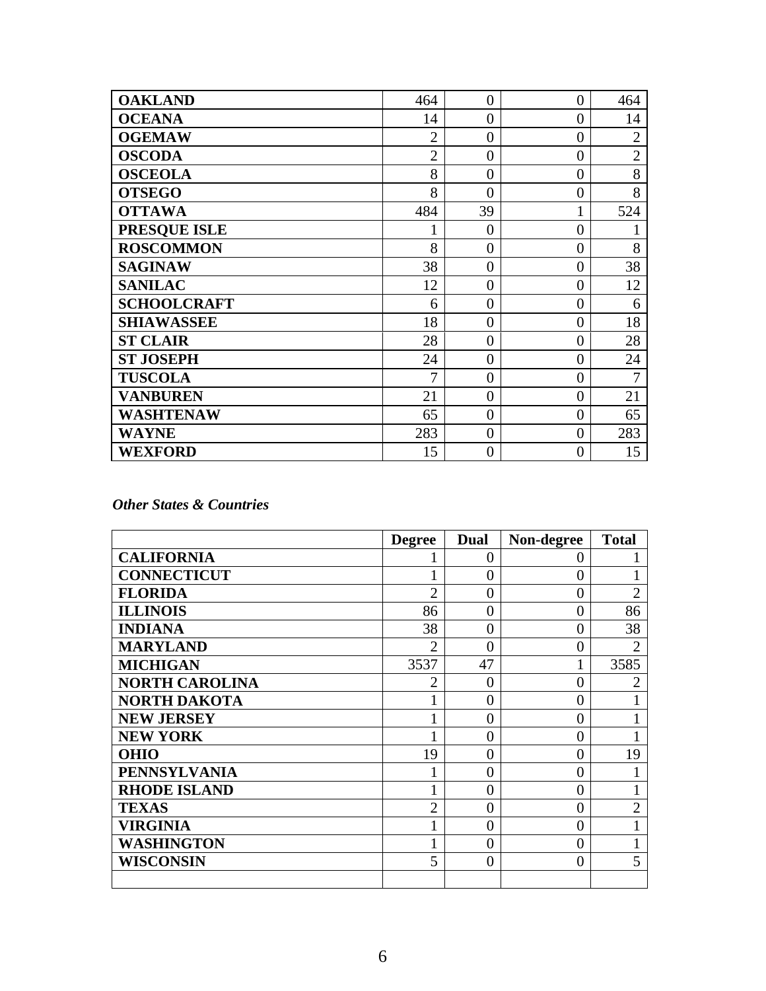| <b>OAKLAND</b>      | 464            | $\overline{0}$   | $\overline{0}$ | 464            |
|---------------------|----------------|------------------|----------------|----------------|
| <b>OCEANA</b>       | 14             | $\overline{0}$   | $\overline{0}$ | 14             |
| <b>OGEMAW</b>       | $\overline{2}$ | $\overline{0}$   | $\overline{0}$ | $\overline{2}$ |
| <b>OSCODA</b>       | $\overline{2}$ | $\overline{0}$   | $\overline{0}$ | $\overline{2}$ |
| <b>OSCEOLA</b>      | 8              | $\overline{0}$   | $\overline{0}$ | 8              |
| <b>OTSEGO</b>       | 8              | $\overline{0}$   | $\overline{0}$ | 8              |
| <b>OTTAWA</b>       | 484            | 39               | 1              | 524            |
| <b>PRESQUE ISLE</b> |                | $\overline{0}$   | $\overline{0}$ |                |
| <b>ROSCOMMON</b>    | 8              | $\overline{0}$   | $\overline{0}$ | 8              |
| <b>SAGINAW</b>      | 38             | $\boldsymbol{0}$ | $\overline{0}$ | 38             |
| <b>SANILAC</b>      | 12             | $\overline{0}$   | $\overline{0}$ | 12             |
| <b>SCHOOLCRAFT</b>  | 6              | $\overline{0}$   | $\overline{0}$ | 6              |
| <b>SHIAWASSEE</b>   | 18             | $\overline{0}$   | $\overline{0}$ | 18             |
| <b>ST CLAIR</b>     | 28             | $\overline{0}$   | $\overline{0}$ | 28             |
| <b>ST JOSEPH</b>    | 24             | $\overline{0}$   | $\overline{0}$ | 24             |
| <b>TUSCOLA</b>      | 7              | $\overline{0}$   | $\overline{0}$ | 7              |
| <b>VANBUREN</b>     | 21             | $\overline{0}$   | $\overline{0}$ | 21             |
| <b>WASHTENAW</b>    | 65             | $\overline{0}$   | $\overline{0}$ | 65             |
| <b>WAYNE</b>        | 283            | $\overline{0}$   | $\overline{0}$ | 283            |
| <b>WEXFORD</b>      | 15             | $\overline{0}$   | $\theta$       | 15             |

### *Other States & Countries*

|                       | <b>Degree</b>  | Dual           | Non-degree | <b>Total</b>   |
|-----------------------|----------------|----------------|------------|----------------|
| <b>CALIFORNIA</b>     |                | $\overline{0}$ | 0          |                |
| <b>CONNECTICUT</b>    |                | $\overline{0}$ | 0          |                |
| <b>FLORIDA</b>        | $\overline{2}$ | $\theta$       | 0          | $\overline{2}$ |
| <b>ILLINOIS</b>       | 86             | $\Omega$       | $\Omega$   | 86             |
| <b>INDIANA</b>        | 38             | $\theta$       | 0          | 38             |
| <b>MARYLAND</b>       | $\overline{2}$ | $\theta$       | 0          | $\overline{2}$ |
| <b>MICHIGAN</b>       | 3537           | 47             | 1          | 3585           |
| <b>NORTH CAROLINA</b> | $\overline{2}$ | 0              | 0          | $\overline{2}$ |
| <b>NORTH DAKOTA</b>   |                | $\theta$       | 0          |                |
| <b>NEW JERSEY</b>     |                | $\theta$       | 0          |                |
| <b>NEW YORK</b>       |                | $\theta$       | $\theta$   |                |
| <b>OHIO</b>           | 19             | $\theta$       | $\theta$   | 19             |
| <b>PENNSYLVANIA</b>   |                | $\theta$       | 0          |                |
| <b>RHODE ISLAND</b>   |                | $\theta$       | $\theta$   |                |
| <b>TEXAS</b>          | 2              | $\theta$       | $\theta$   | $\overline{2}$ |
| VIRGINIA              |                | $\theta$       | 0          |                |
| WASHINGTON            |                | $\theta$       | 0          |                |
| WISCONSIN             | 5              | $\theta$       | $\theta$   | 5              |
|                       |                |                |            |                |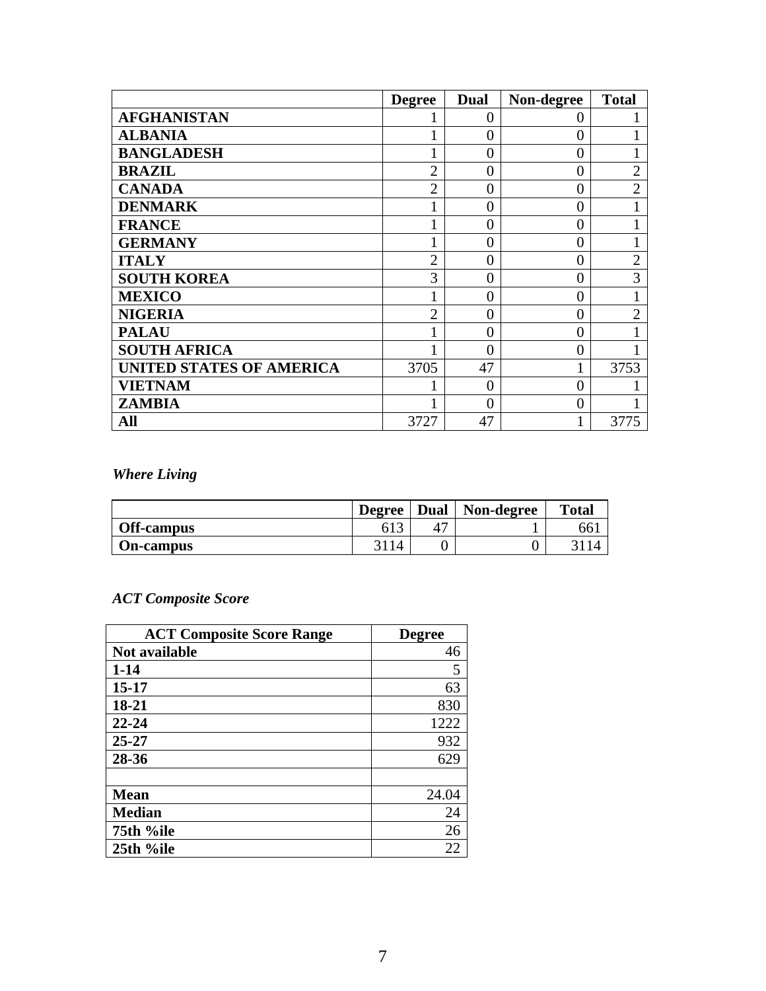|                                 | <b>Degree</b>  | <b>Dual</b> | Non-degree | <b>Total</b>   |
|---------------------------------|----------------|-------------|------------|----------------|
| <b>AFGHANISTAN</b>              |                | $\theta$    | 0          |                |
| <b>ALBANIA</b>                  |                | $\theta$    | 0          |                |
| <b>BANGLADESH</b>               |                | $\theta$    | 0          |                |
| <b>BRAZIL</b>                   | $\overline{2}$ | $\theta$    | 0          | $\overline{2}$ |
| <b>CANADA</b>                   | $\overline{2}$ | $\Omega$    | 0          | $\overline{2}$ |
| <b>DENMARK</b>                  |                | $\Omega$    | 0          |                |
| <b>FRANCE</b>                   |                | $\theta$    | 0          |                |
| <b>GERMANY</b>                  |                | 0           | 0          |                |
| <b>ITALY</b>                    | $\overline{2}$ | $\theta$    | 0          | $\overline{2}$ |
| <b>SOUTH KOREA</b>              | 3              | $\theta$    | 0          | 3              |
| <b>MEXICO</b>                   |                | $\theta$    | 0          |                |
| <b>NIGERIA</b>                  | 2              | 0           | 0          | $\overline{2}$ |
| <b>PALAU</b>                    |                | 0           | 0          |                |
| <b>SOUTH AFRICA</b>             |                | 0           | 0          |                |
| <b>UNITED STATES OF AMERICA</b> | 3705           | 47          |            | 3753           |
| VIETNAM                         |                | $\Omega$    | 0          |                |
| <b>ZAMBIA</b>                   |                | 0           | 0          |                |
| All                             | 3727           | 47          |            | 3775           |

## *Where Living*

|                   | <b>Degree</b> | <b>Dual</b> | Non-degree | <b>Total</b> |
|-------------------|---------------|-------------|------------|--------------|
| <b>Off-campus</b> |               |             |            | bb.          |
| <b>On-campus</b>  | 14            |             |            |              |

## *ACT Composite Score*

| <b>ACT Composite Score Range</b> | <b>Degree</b> |
|----------------------------------|---------------|
| Not available                    | 46            |
| $1 - 14$                         | 5             |
| $15 - 17$                        | 63            |
| 18-21                            | 830           |
| $22 - 24$                        | 1222          |
| $25 - 27$                        | 932           |
| 28-36                            | 629           |
|                                  |               |
| <b>Mean</b>                      | 24.04         |
| <b>Median</b>                    | 24            |
| 75th %ile                        | 26            |
| 25th %ile                        | 22            |